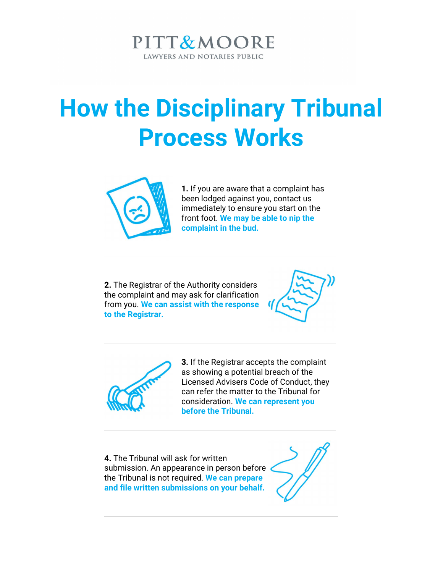### PITT&MOORE LAWYERS AND NOTARIES PUBLIC

# How the Disciplinary Tribunal Process Works



1. If you are aware that a complaint has been lodged against you, contact us immediately to ensure you start on the front foot. We may be able to nip the complaint in the bud.

2. The Registrar of the Authority considers the complaint and may ask for clarification from you. We can assist with the response to the Registrar.





3. If the Registrar accepts the complaint as showing a potential breach of the Licensed Advisers Code of Conduct, they can refer the matter to the Tribunal for consideration. We can represent you before the Tribunal.

4. The Tribunal will ask for written submission. An appearance in person before the Tribunal is not required. We can prepare and file written submissions on your behalf.